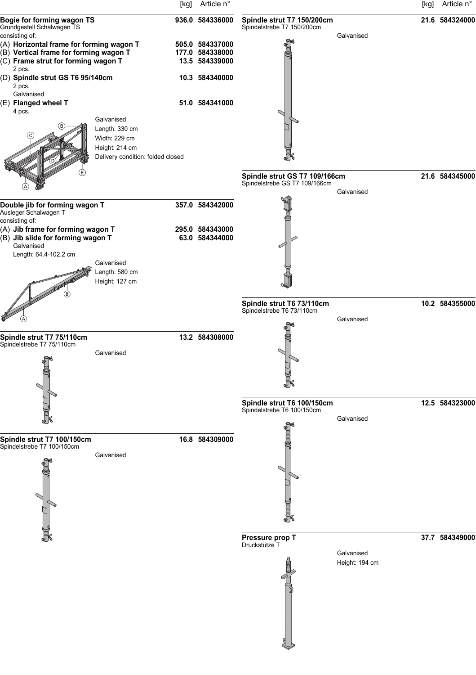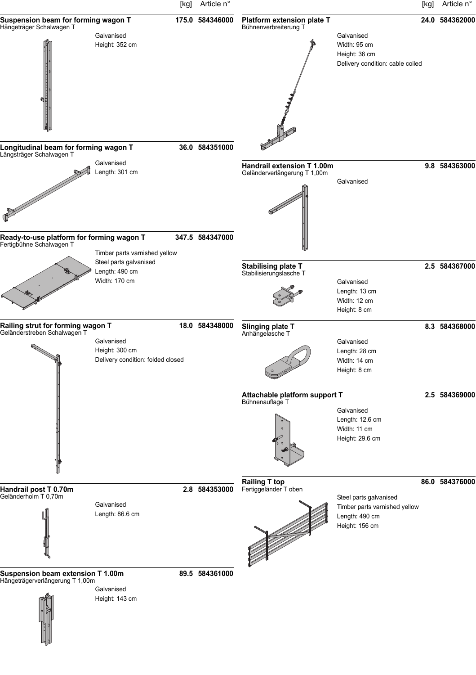